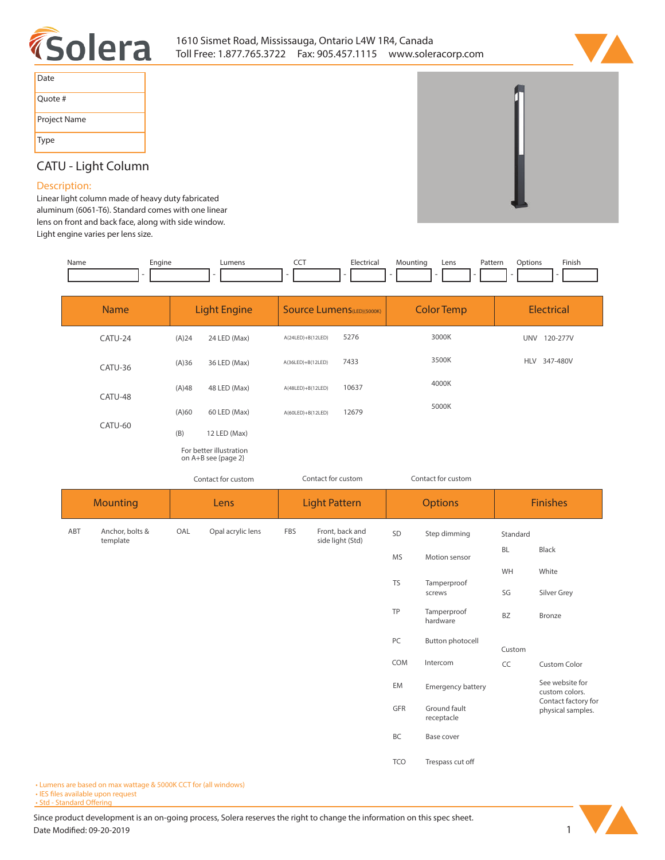



| Date         |
|--------------|
| Quote #      |
| Project Name |
| Type         |

# **CATU - Light Column**

## **Description:**

**Linear light column made of heavy duty fabricated aluminum (6061-T6). Standard comes with one linear lens on front and back face, along with side window. Light engine varies per lens size.**

| Name | Engine | Lumens | ---<br>$\overline{\phantom{a}}$ | Electrical | Mountina | Lens | Patterr | <b>Options</b> | Finish |
|------|--------|--------|---------------------------------|------------|----------|------|---------|----------------|--------|
|      |        |        |                                 |            |          |      |         |                |        |

| <b>Name</b> |                             | <b>Light Engine</b>                                            |                                                | <b>Source Lumens</b> (LED)(5000K) |                                     | <b>Color Temp</b>  |                         | <b>Electrical</b>                        |                 |
|-------------|-----------------------------|----------------------------------------------------------------|------------------------------------------------|-----------------------------------|-------------------------------------|--------------------|-------------------------|------------------------------------------|-----------------|
|             | CATU-24                     | (A)24                                                          | 24 LED (Max)                                   | $A(24LED)+B(12LED)$               | 5276                                |                    | 3000K                   |                                          | UNV 120-277V    |
|             | CATU-36                     | (A)36                                                          | 36 LED (Max)                                   | A(36LED)+B(12LED)                 | 7433                                |                    | 3500K                   |                                          | HLV 347-480V    |
|             | CATU-48                     | 4000K<br>(A)48<br>10637<br>48 LED (Max)<br>$A(48LED)+B(12LED)$ |                                                |                                   |                                     |                    |                         |                                          |                 |
|             |                             | (A)60                                                          | 60 LED (Max)                                   | $A(60LED)+B(12LED)$               | 12679                               |                    | 5000K                   |                                          |                 |
|             | CATU-60                     |                                                                | 12 LED (Max)                                   |                                   |                                     |                    |                         |                                          |                 |
|             |                             |                                                                | For better illustration<br>on A+B see {page 2} |                                   |                                     |                    |                         |                                          |                 |
|             | Contact for custom          |                                                                |                                                | Contact for custom                |                                     | Contact for custom |                         |                                          |                 |
|             | <b>Mounting</b>             |                                                                | Lens                                           | <b>Light Pattern</b>              |                                     |                    | <b>Options</b>          |                                          | <b>Finishes</b> |
| ABT         | Anchor, bolts &<br>template | OAL                                                            | Opal acrylic lens                              | FBS                               | Front, back and<br>side light (Std) | SD                 | Step dimming            | Standard                                 |                 |
|             |                             |                                                                |                                                |                                   |                                     | <b>MS</b>          | Motion sensor           | BL                                       | <b>Black</b>    |
|             |                             |                                                                |                                                |                                   |                                     | <b>TS</b>          | Tamperproof             | WH                                       | White           |
|             |                             |                                                                |                                                |                                   |                                     |                    | screws                  | SG                                       | Silver Grey     |
|             |                             |                                                                |                                                |                                   |                                     | TP                 | Tamperproof<br>hardware | BZ                                       | <b>Bronze</b>   |
|             |                             |                                                                |                                                |                                   |                                     | PC                 | <b>Button photocell</b> | Custom                                   |                 |
|             |                             |                                                                |                                                |                                   |                                     | COM                | Intercom                | CC                                       | Custom Color    |
|             |                             |                                                                |                                                |                                   | EM                                  | Emergency battery  |                         | See website for<br>custom colors.        |                 |
|             |                             |                                                                |                                                | GFR<br>Ground fault<br>receptacle |                                     |                    |                         | Contact factory for<br>physical samples. |                 |
|             |                             |                                                                |                                                |                                   |                                     | BC                 | Base cover              |                                          |                 |
|             |                             |                                                                |                                                |                                   |                                     | <b>TCO</b>         | Trespass cut off        |                                          |                 |

**• Lumens are based on max wattage & 5000K CCT for (all windows)**

**• IES files available upon request** 

• Std - Standard Offering

Since product development is an on-going process, Solera reserves the right to change the information on this spec sheet. **Date Modified: 09-20-2019** 1